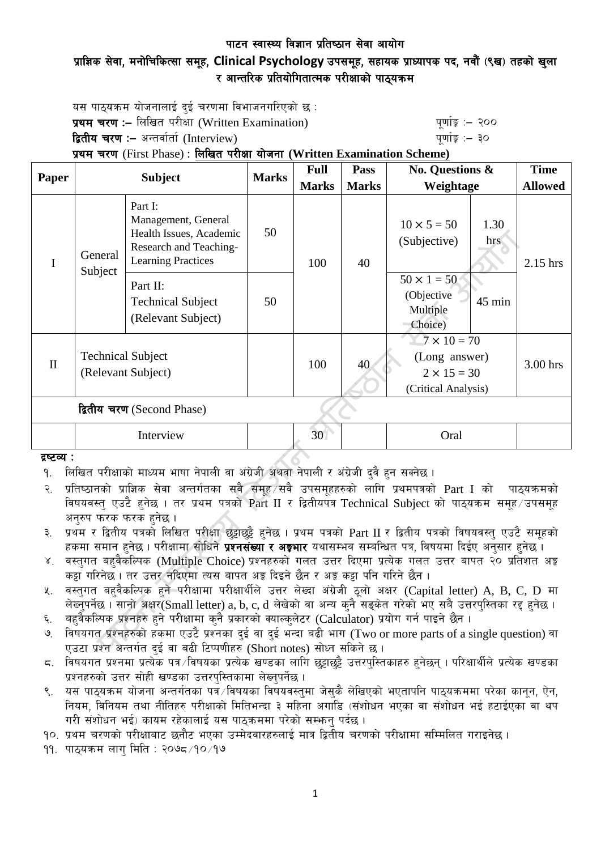# प्राज्ञिक सेवा, मनोचिकित्सा समूह, Clinical Psychology उपसमूह, सहायक प्राध्यापक पद, नवौं (९ख) तहको खुला र आन्तरिक प्रतियोगितात्मक परीक्षाको पाठ्यक्रम

यस पाठयक्रम योजनालाई दई चरणमा विभाजनगरिएको छ $\,$ : प्रथम चरण :- लिखित परीक्षा (Written Examination) x 200 पूर्णा कू :- २०० द्वितीय चरण :– अन्तर्वार्ता (Interview) k and the set of the set of the set of  $q$ णांङ्क :– ३० प्रथम चरण (First Phase) : लिखित परीक्षा योजना (Written Examination Scheme)

| Paper                      | <b>Subject</b>                                 |                                                                                                                  | <b>Marks</b> | <b>Full</b>     | Pass         | No. Questions &<br>Weightage                                                     |             | <b>Time</b>    |
|----------------------------|------------------------------------------------|------------------------------------------------------------------------------------------------------------------|--------------|-----------------|--------------|----------------------------------------------------------------------------------|-------------|----------------|
|                            |                                                |                                                                                                                  |              | <b>Marks</b>    | <b>Marks</b> |                                                                                  |             | <b>Allowed</b> |
|                            | General<br>Subject                             | Part I:<br>Management, General<br>Health Issues, Academic<br>Research and Teaching-<br><b>Learning Practices</b> | 50           | 100             | 40           | $10 \times 5 = 50$<br>(Subjective)                                               | 1.30<br>hrs | 2.15 hrs       |
|                            |                                                | Part II:<br><b>Technical Subject</b><br>(Relevant Subject)                                                       | 50           |                 |              | $50 \times 1 = 50$<br>(Objective<br>Multiple<br>Choice)                          | 45 min      |                |
| $\mathbf{I}$               | <b>Technical Subject</b><br>(Relevant Subject) |                                                                                                                  |              | 100             | 40           | $7 \times 10 = 70$<br>(Long answer)<br>$2 \times 15 = 30$<br>(Critical Analysis) |             | 3.00 hrs       |
| द्वितीय चरण (Second Phase) |                                                |                                                                                                                  |              |                 |              |                                                                                  |             |                |
|                            | Interview                                      |                                                                                                                  |              | 30 <sup>°</sup> |              | Oral                                                                             |             |                |

#### द्रष्टव्य :

<u>9. लिखित परीक्षाको माध्यम भाषा नेपाली वा अंग्रेजी अथवा नेपाली र अंग्रेजी दवै हुन सक्नेछ ।</u>

- २. प्रतिष्ठानको प्राज्ञिक सेवा अन्तर्गतका सबै समूह सबै उपसमूहहरुको लागि प्रथमपत्रको Part I को पाठ्यक्रमको विषयवस्त् एउटै हुनेछ । तर प्रथम पत्रको Part II र द्वितीयपत्र Technical Subject को पाठ्यक्रम समुह उपसमुह अनुरुप फरक फरक हुनेछ ।
- ३. प्रथम र द्वितीय पत्रको लिखित परीक्षा छुट्टाछुट्टै हुनेछ । प्रथम पत्रको Part II र द्वितीय पत्रको विषयवस्तु एउटै समूहको हकमा समान हुनेछ । परीक्षामा सोधिने **प्रश्नसंख्या र अङ्गभार** यथासम्भव सम्बन्धित पत्र, विषयमा दिईए अनुसार हुनेछ ।
- ४. वस्तगत बहवैकस्पिक (Multiple Choice) प्रश्नहरुको गलत उत्तर दिएमा प्रत्येक गलत उत्तर बापत २० प्रतिशत अङ्क कट्टा गरिनेछ । तर उत्तर नदिएमा त्यस बापत अङ्ग दिइने छैन र अङ्ग कट्टा पनि गरिने छैन ।
- $\,$ k. वस्तुगत बहुवैकल्पिक हुने परीक्षामा परीक्षार्थीले उत्तर लेख्दा अंग्रेजी ठुलो अक्षर (Capital letter) A, B, C, D मा लेख्नुपर्नेछ । सानो अक्षर(Small letter) a, b, c, d लेखेको वा अन्य कुनै सड़केत गरेको भए सबै उत्तरपस्तिका रद्द हुनेछ ।
- ६. वहवैकल्पिक प्रश्नहरु हुने परीक्षामा कुनै प्रकारको क्याल्कुलेटर (Calculator) प्रयोग गर्न पाइने छैन ।
- ७. विषयगत प्रश्नहरुको हकमा एउटै प्रश्नका दुई वा दुई भन्दा बढी भाग (Two or more parts of a single question) वा एउटा प्रश्न अन्तर्गत दई वा बढी टिप्पणीहरु (Short notes) सोध्न सकिने छ।
- $\,$  6. विषयगत प्रश्नमा प्रत्येक पत्र /विषयका प्रत्येक खण्डका लागि छुट्टाछुट्टै उत्तरपस्तिकाहरु हुनेछन् । परिक्षार्थीले प्रत्येक खण्डका प्रश्नहरुको उत्तर सोही खण्डका उत्तरपुस्तिकामा लेख्नुपर्नेछ ।
- ९. यस पाठयक्रम योजना अन्तर्गतका पत्रे विषयका विषयवस्तुमा जेसकै लेखिएको भएतापनि पाठुयक्रममा परेका कानुन, ऐन, नियम, विनियम तथा नीतिहरु परीक्षाको मितिभन्दा ३ महिना अगाडि (संशोधन भएका वा संशोधन भई हटाईएका वा थप गरी संशोधन भई) कायम रहेकालाई यस पाठकममा परेको सम्भन पर्दछ ।
- <u>१०. प्रथम चरणको परीक्षाबाट छनौट भएका उम्मेदवारहरुलाई मात्र द्वितीय चरणको परीक्षामा सम्मिलित गराइनेछ ।</u>
- $99.$  पाठयक्रम लाग मिति : २०७८ $/9$ ० $/9$ ७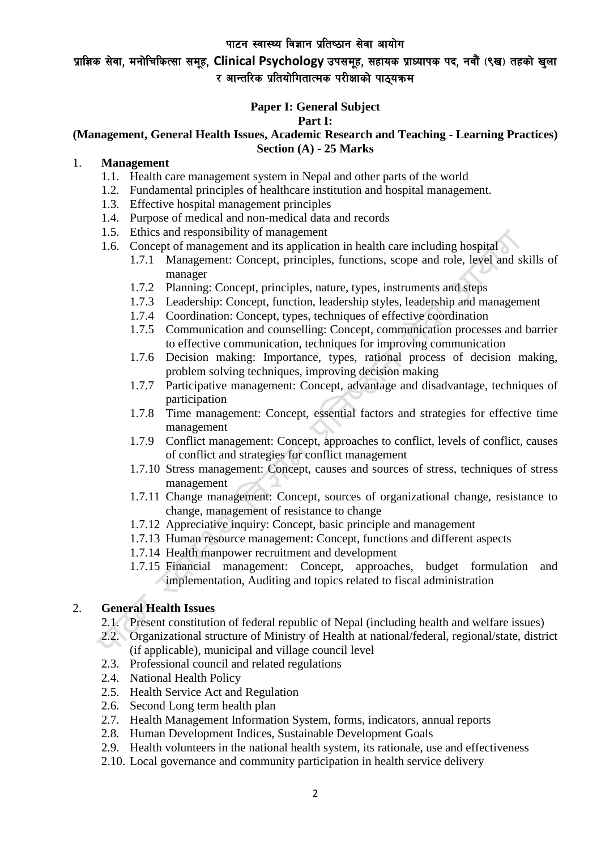# प्राज्ञिक सेवा, मनोचिकित्सा समूह, Clinical Psychology उपसमुह, सहायक प्राध्यापक पद, नवौं (९ख) तहको खुला र आन्तरिक प्रतियोगितात्मक परीक्षाको पाठ्यक्रम

# **Paper I: General Subject**

#### **Part I:**

### **(Management, General Health Issues, Academic Research and Teaching - Learning Practices) Section (A) - 25 Marks**

## 1. **Management**

- 1.1. Health care management system in Nepal and other parts of the world
- 1.2. Fundamental principles of healthcare institution and hospital management.
- 1.3. Effective hospital management principles
- 1.4. Purpose of medical and non-medical data and records
- 1.5. Ethics and responsibility of management
- 1.6. Concept of management and its application in health care including hospital
	- 1.7.1 Management: Concept, principles, functions, scope and role, level and skills of manager
		- 1.7.2 Planning: Concept, principles, nature, types, instruments and steps
	- 1.7.3 Leadership: Concept, function, leadership styles, leadership and management
	- 1.7.4 Coordination: Concept, types, techniques of effective coordination
	- 1.7.5 Communication and counselling: Concept, communication processes and barrier to effective communication, techniques for improving communication
	- 1.7.6 Decision making: Importance, types, rational process of decision making, problem solving techniques, improving decision making
	- 1.7.7 Participative management: Concept, advantage and disadvantage, techniques of participation
	- 1.7.8 Time management: Concept, essential factors and strategies for effective time management
	- 1.7.9 Conflict management: Concept, approaches to conflict, levels of conflict, causes of conflict and strategies for conflict management
	- 1.7.10 Stress management: Concept, causes and sources of stress, techniques of stress management
	- 1.7.11 Change management: Concept, sources of organizational change, resistance to change, management of resistance to change
	- 1.7.12 Appreciative inquiry: Concept, basic principle and management
	- 1.7.13 Human resource management: Concept, functions and different aspects
	- 1.7.14 Health manpower recruitment and development
	- 1.7.15 Financial management: Concept, approaches, budget formulation and implementation, Auditing and topics related to fiscal administration

# 2. **General Health Issues**

- 2.1. Present constitution of federal republic of Nepal (including health and welfare issues)
- 2.2. Organizational structure of Ministry of Health at national/federal, regional/state, district (if applicable), municipal and village council level
- 2.3. Professional council and related regulations
- 2.4. National Health Policy
- 2.5. Health Service Act and Regulation
- 2.6. Second Long term health plan
- 2.7. Health Management Information System, forms, indicators, annual reports
- 2.8. Human Development Indices, Sustainable Development Goals
- 2.9. Health volunteers in the national health system, its rationale, use and effectiveness
- 2.10. Local governance and community participation in health service delivery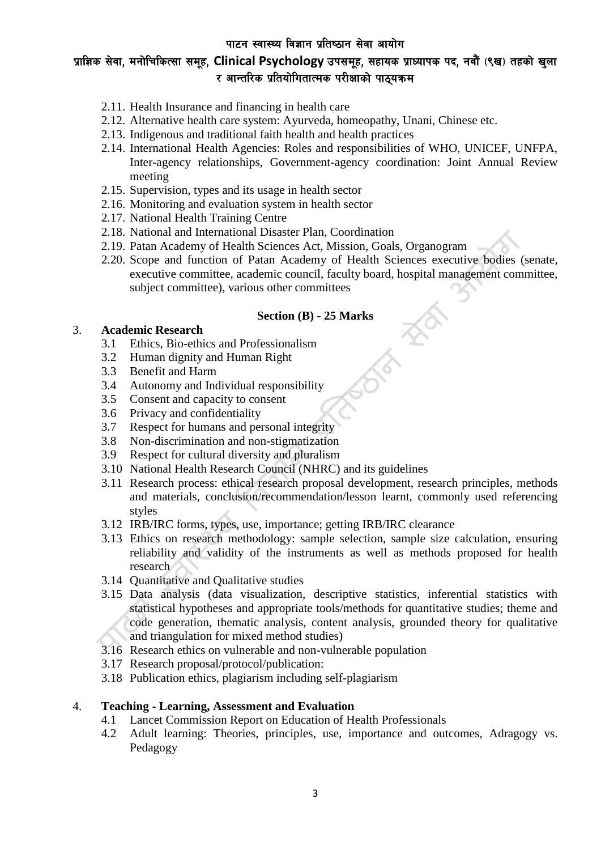# प्राज्ञिक सेवा, मनोचिकित्सा समूह, Clinical Psychology उपसमूह, सहायक प्राध्यापक पद, नवौं (९ख) तहको खुला र आन्तरिक प्रतियोगितात्मक परीक्षाको पाठ्यक्रम

- 2.11. Health Insurance and financing in health care
- 2.12. Alternative health care system: Ayurveda, homeopathy, Unani, Chinese etc.
- 2.13. Indigenous and traditional faith health and health practices
- 2.14. International Health Agencies: Roles and responsibilities of WHO, UNICEF, UNFPA, Inter-agency relationships, Government-agency coordination: Joint Annual Review meeting
- 2.15. Supervision, types and its usage in health sector
- 2.16. Monitoring and evaluation system in health sector
- 2.17. National Health Training Centre
- 2.18. National and International Disaster Plan, Coordination
- 2.19. Patan Academy of Health Sciences Act, Mission, Goals, Organogram
- 2.20. Scope and function of Patan Academy of Health Sciences executive bodies (senate, executive committee, academic council, faculty board, hospital management committee, subject committee), various other committees

#### **Section (B) - 25 Marks**

## 3. **Academic Research**

- 3.1 Ethics, Bio-ethics and Professionalism
- 3.2 Human dignity and Human Right
- 3.3 Benefit and Harm
- 3.4 Autonomy and Individual responsibility
- 3.5 Consent and capacity to consent
- 3.6 Privacy and confidentiality
- 3.7 Respect for humans and personal integrity
- 3.8 Non-discrimination and non-stigmatization
- 3.9 Respect for cultural diversity and pluralism
- 3.10 National Health Research Council (NHRC) and its guidelines
- 3.11 Research process: ethical research proposal development, research principles, methods and materials, conclusion/recommendation/lesson learnt, commonly used referencing styles
- 3.12 IRB/IRC forms, types, use, importance; getting IRB/IRC clearance
- 3.13 Ethics on research methodology: sample selection, sample size calculation, ensuring reliability and validity of the instruments as well as methods proposed for health research
- 3.14 Quantitative and Qualitative studies
- 3.15 Data analysis (data visualization, descriptive statistics, inferential statistics with statistical hypotheses and appropriate tools/methods for quantitative studies; theme and code generation, thematic analysis, content analysis, grounded theory for qualitative and triangulation for mixed method studies)
- 3.16 Research ethics on vulnerable and non-vulnerable population
- 3.17 Research proposal/protocol/publication:
- 3.18 Publication ethics, plagiarism including self-plagiarism

# 4. **Teaching - Learning, Assessment and Evaluation**

- 4.1 Lancet Commission Report on Education of Health Professionals
- 4.2 Adult learning: Theories, principles, use, importance and outcomes, Adragogy vs. Pedagogy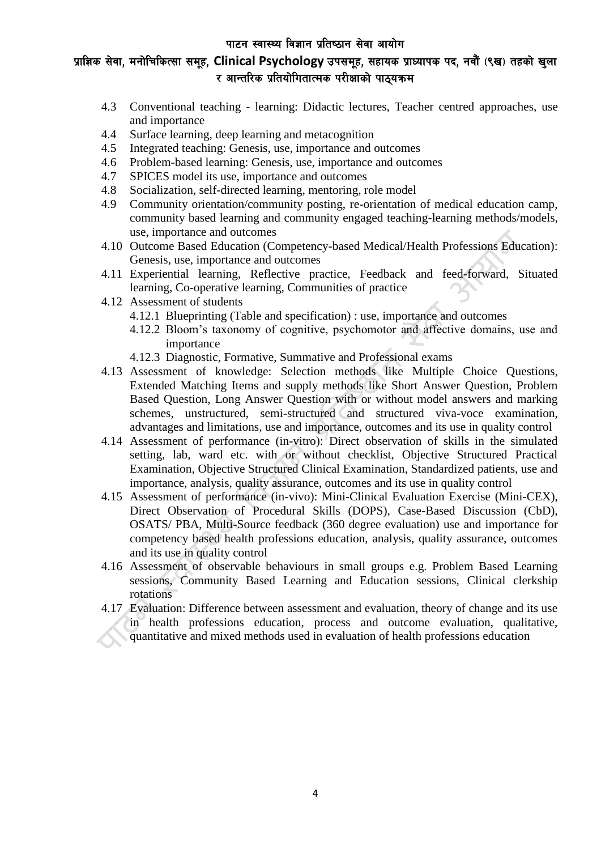# प्राज्ञिक सेवा, मनोचिकित्सा समूह, Clinical Psychology उपसमुह, सहायक प्राध्यापक पद, नवौं (९ख) तहको खुला र आन्तरिक प्रतियोगितात्मक परीक्षाको पाठयक्रम

- 4.3 Conventional teaching learning: Didactic lectures, Teacher centred approaches, use and importance
- 4.4 Surface learning, deep learning and metacognition
- 4.5 Integrated teaching: Genesis, use, importance and outcomes
- 4.6 Problem-based learning: Genesis, use, importance and outcomes
- 4.7 SPICES model its use, importance and outcomes
- 4.8 Socialization, self-directed learning, mentoring, role model
- 4.9 Community orientation/community posting, re-orientation of medical education camp, community based learning and community engaged teaching-learning methods/models, use, importance and outcomes
- 4.10 Outcome Based Education (Competency-based Medical/Health Professions Education): Genesis, use, importance and outcomes
- 4.11 Experiential learning, Reflective practice, Feedback and feed-forward, Situated learning, Co-operative learning, Communities of practice
- 4.12 Assessment of students
	- 4.12.1 Blueprinting (Table and specification) : use, importance and outcomes
	- 4.12.2 Bloom's taxonomy of cognitive, psychomotor and affective domains, use and importance
	- 4.12.3 Diagnostic, Formative, Summative and Professional exams
- 4.13 Assessment of knowledge: Selection methods like Multiple Choice Questions, Extended Matching Items and supply methods like Short Answer Question, Problem Based Question, Long Answer Question with or without model answers and marking schemes, unstructured, semi-structured and structured viva-voce examination, advantages and limitations, use and importance, outcomes and its use in quality control
- 4.14 Assessment of performance (in-vitro): Direct observation of skills in the simulated setting, lab, ward etc. with or without checklist, Objective Structured Practical Examination, Objective Structured Clinical Examination, Standardized patients, use and importance, analysis, quality assurance, outcomes and its use in quality control
- 4.15 Assessment of performance (in-vivo): Mini-Clinical Evaluation Exercise (Mini-CEX), Direct Observation of Procedural Skills (DOPS), Case-Based Discussion (CbD), OSATS/ PBA, Multi-Source feedback (360 degree evaluation) use and importance for competency based health professions education, analysis, quality assurance, outcomes and its use in quality control
- 4.16 Assessment of observable behaviours in small groups e.g. Problem Based Learning sessions, Community Based Learning and Education sessions, Clinical clerkship rotations
- 4.17 Evaluation: Difference between assessment and evaluation, theory of change and its use in health professions education, process and outcome evaluation, qualitative, quantitative and mixed methods used in evaluation of health professions education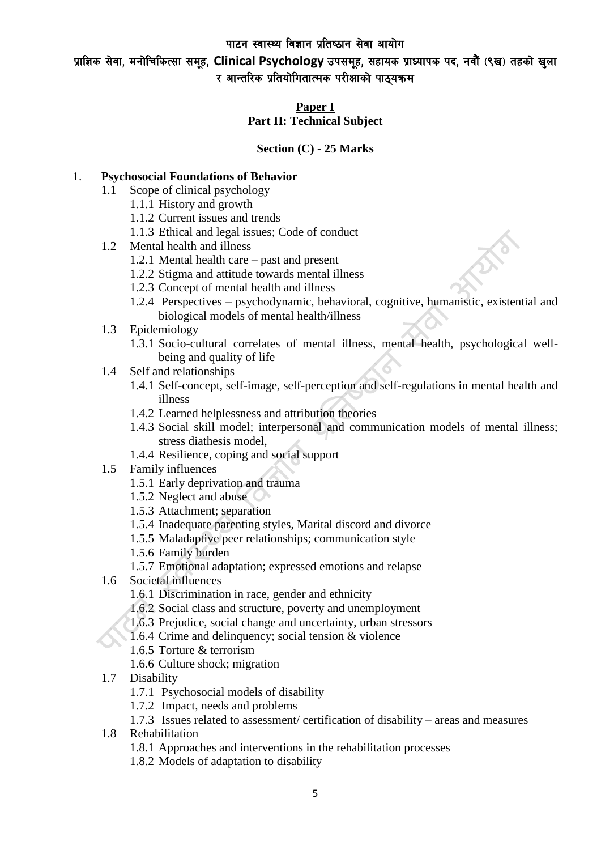प्राज्ञिक सेवा, मनोचिकित्सा समूह, Clinical Psychology उपसमूह, सहायक प्राध्यापक पद, नवौं (९ख) तहको खुला र आन्तरिक प्रतियोगितात्मक परीक्षाको पाठ्यक्रम

# **Paper I**

# **Part II: Technical Subject**

# **Section (C) - 25 Marks**

# 1. **Psychosocial Foundations of Behavior**

- 1.1 Scope of clinical psychology
	- 1.1.1 History and growth
	- 1.1.2 Current issues and trends
	- 1.1.3 Ethical and legal issues; Code of conduct
- 1.2 Mental health and illness
	- 1.2.1 Mental health care past and present
	- 1.2.2 Stigma and attitude towards mental illness
	- 1.2.3 Concept of mental health and illness
	- 1.2.4 Perspectives psychodynamic, behavioral, cognitive, humanistic, existential and biological models of mental health/illness
- 1.3 Epidemiology
	- 1.3.1 Socio-cultural correlates of mental illness, mental health, psychological wellbeing and quality of life
- 1.4 Self and relationships
	- 1.4.1 Self-concept, self-image, self-perception and self-regulations in mental health and illness
	- 1.4.2 Learned helplessness and attribution theories
	- 1.4.3 Social skill model; interpersonal and communication models of mental illness; stress diathesis model,
	- 1.4.4 Resilience, coping and social support
- 1.5 Family influences
	- 1.5.1 Early deprivation and trauma
	- 1.5.2 Neglect and abuse
	- 1.5.3 Attachment; separation
	- 1.5.4 Inadequate parenting styles, Marital discord and divorce
	- 1.5.5 Maladaptive peer relationships; communication style
	- 1.5.6 Family burden
	- 1.5.7 Emotional adaptation; expressed emotions and relapse
- 1.6 Societal influences
	- 1.6.1 Discrimination in race, gender and ethnicity
	- 1.6.2 Social class and structure, poverty and unemployment
	- 1.6.3 Prejudice, social change and uncertainty, urban stressors
	- 1.6.4 Crime and delinquency; social tension & violence
	- 1.6.5 Torture & terrorism
	- 1.6.6 Culture shock; migration
- 1.7 Disability
	- 1.7.1 Psychosocial models of disability
	- 1.7.2 Impact, needs and problems
	- 1.7.3 Issues related to assessment/ certification of disability areas and measures
- 1.8 Rehabilitation
	- 1.8.1 Approaches and interventions in the rehabilitation processes
	- 1.8.2 Models of adaptation to disability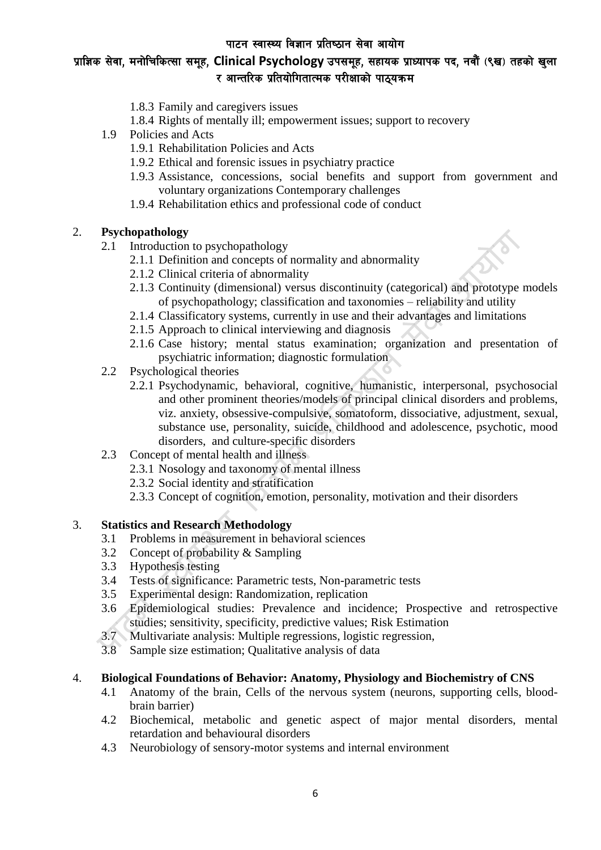# प्राज्ञिक सेवा, मनोचिकित्सा समूह, Clinical Psychology उपसमूह, सहायक प्राध्यापक पद, नवौं (९ख) तहको खुला र आन्तरिक प्रतियोगितात्मक परीक्षाको पाठ्यक्रम

- 1.8.3 Family and caregivers issues
- 1.8.4 Rights of mentally ill; empowerment issues; support to recovery
- 1.9 Policies and Acts
	- 1.9.1 Rehabilitation Policies and Acts
	- 1.9.2 Ethical and forensic issues in psychiatry practice
	- 1.9.3 Assistance, concessions, social benefits and support from government and voluntary organizations Contemporary challenges
	- 1.9.4 Rehabilitation ethics and professional code of conduct

# 2. **Psychopathology**

- 2.1 Introduction to psychopathology
	- 2.1.1 Definition and concepts of normality and abnormality
	- 2.1.2 Clinical criteria of abnormality
	- 2.1.3 Continuity (dimensional) versus discontinuity (categorical) and prototype models of psychopathology; classification and taxonomies – reliability and utility
	- 2.1.4 Classificatory systems, currently in use and their advantages and limitations
	- 2.1.5 Approach to clinical interviewing and diagnosis
	- 2.1.6 Case history; mental status examination; organization and presentation of psychiatric information; diagnostic formulation
- 2.2 Psychological theories
	- 2.2.1 Psychodynamic, behavioral, cognitive, humanistic, interpersonal, psychosocial and other prominent theories/models of principal clinical disorders and problems, viz. anxiety, obsessive-compulsive, somatoform, dissociative, adjustment, sexual, substance use, personality, suicide, childhood and adolescence, psychotic, mood disorders, and culture-specific disorders
- 2.3 Concept of mental health and illness
	- 2.3.1 Nosology and taxonomy of mental illness
	- 2.3.2 Social identity and stratification
	- 2.3.3 Concept of cognition, emotion, personality, motivation and their disorders

#### 3. **Statistics and Research Methodology**

- 3.1 Problems in measurement in behavioral sciences
- 3.2 Concept of probability & Sampling
- 3.3 Hypothesis testing
- 3.4 Tests of significance: Parametric tests, Non-parametric tests
- 3.5 Experimental design: Randomization, replication
- 3.6 Epidemiological studies: Prevalence and incidence; Prospective and retrospective studies; sensitivity, specificity, predictive values; Risk Estimation
- 3.7 Multivariate analysis: Multiple regressions, logistic regression,
- 3.8 Sample size estimation; Qualitative analysis of data

#### 4. **Biological Foundations of Behavior: Anatomy, Physiology and Biochemistry of CNS**

- 4.1 Anatomy of the brain, Cells of the nervous system (neurons, supporting cells, bloodbrain barrier)
- 4.2 Biochemical, metabolic and genetic aspect of major mental disorders, mental retardation and behavioural disorders
- 4.3 Neurobiology of sensory-motor systems and internal environment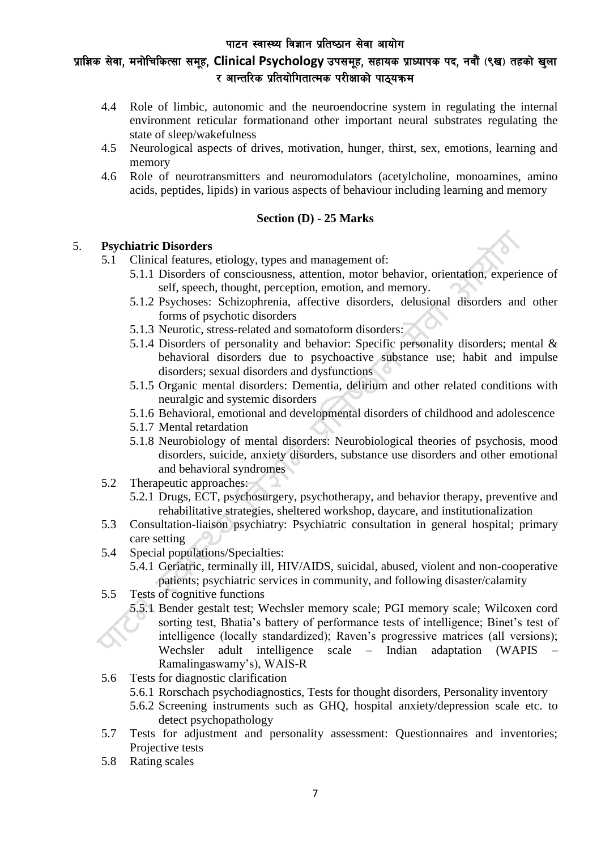# प्राज्ञिक सेवा, मनोचिकित्सा समूह, Clinical Psychology उपसमूह, सहायक प्राध्यापक पद, नवौं (९ख) तहको खुला र आन्तरिक प्रतियोगितात्मक परीक्षाको पाठ्यक्रम

- 4.4 Role of limbic, autonomic and the neuroendocrine system in regulating the internal environment reticular formationand other important neural substrates regulating the state of sleep/wakefulness
- 4.5 Neurological aspects of drives, motivation, hunger, thirst, sex, emotions, learning and memory
- 4.6 Role of neurotransmitters and neuromodulators (acetylcholine, monoamines, amino acids, peptides, lipids) in various aspects of behaviour including learning and memory

## **Section (D) - 25 Marks**

## 5. **Psychiatric Disorders**

- 5.1 Clinical features, etiology, types and management of:
	- 5.1.1 Disorders of consciousness, attention, motor behavior, orientation, experience of self, speech, thought, perception, emotion, and memory.
	- 5.1.2 Psychoses: Schizophrenia, affective disorders, delusional disorders and other forms of psychotic disorders
	- 5.1.3 Neurotic, stress-related and somatoform disorders:
	- 5.1.4 Disorders of personality and behavior: Specific personality disorders; mental & behavioral disorders due to psychoactive substance use; habit and impulse disorders; sexual disorders and dysfunctions
	- 5.1.5 Organic mental disorders: Dementia, delirium and other related conditions with neuralgic and systemic disorders
	- 5.1.6 Behavioral, emotional and developmental disorders of childhood and adolescence
	- 5.1.7 Mental retardation
	- 5.1.8 Neurobiology of mental disorders: Neurobiological theories of psychosis, mood disorders, suicide, anxiety disorders, substance use disorders and other emotional and behavioral syndromes
- 5.2 Therapeutic approaches:
	- 5.2.1 Drugs, ECT, psychosurgery, psychotherapy, and behavior therapy, preventive and rehabilitative strategies, sheltered workshop, daycare, and institutionalization
- 5.3 Consultation-liaison psychiatry: Psychiatric consultation in general hospital; primary care setting
- 5.4 Special populations/Specialties:
	- 5.4.1 Geriatric, terminally ill, HIV/AIDS, suicidal, abused, violent and non-cooperative patients; psychiatric services in community, and following disaster/calamity
- 5.5 Tests of cognitive functions
	- 5.5.1 Bender gestalt test; Wechsler memory scale; PGI memory scale; Wilcoxen cord sorting test, Bhatia's battery of performance tests of intelligence; Binet's test of intelligence (locally standardized); Raven's progressive matrices (all versions); Wechsler adult intelligence scale – Indian adaptation (WAPIS Ramalingaswamy's), WAIS-R
- 5.6 Tests for diagnostic clarification
	- 5.6.1 Rorschach psychodiagnostics, Tests for thought disorders, Personality inventory
	- 5.6.2 Screening instruments such as GHQ, hospital anxiety/depression scale etc. to detect psychopathology
- 5.7 Tests for adjustment and personality assessment: Questionnaires and inventories; Projective tests
- 5.8 Rating scales